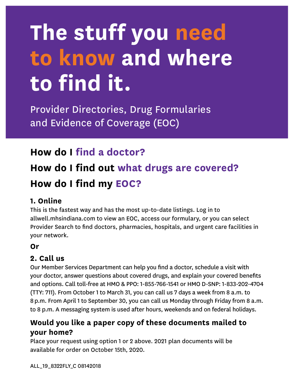# **The stuff you need to know and where to find it.**

Provider Directories, Drug Formularies and Evidence of Coverage (EOC)

### **How do I find a doctor?**

## **How do I find out what drugs are covered? How do I find my EOC?**

#### **1. Online**

This is the fastest way and has the most up-to-date listings. Log in to allwell.mhsindiana.com to view an EOC, access our formulary, or you can select Provider Search to find doctors, pharmacies, hospitals, and urgent care facilities in your network.

#### **Or**

#### **2. Call us**

Our Member Services Department can help you find a doctor, schedule a visit with your doctor, answer questions about covered drugs, and explain your covered benefits and options. Call toll-free at HMO & PPO: 1-855-766-1541 or HMO D-SNP: 1-833-202-4704 (TTY: 711). From October 1 to March 31, you can call us 7 days a week from 8 a.m. to 8 p.m. From April 1 to September 30, you can call us Monday through Friday from 8 a.m. to 8 p.m. A messaging system is used after hours, weekends and on federal holidays.

#### **Would you like a paper copy of these documents mailed to your home?**

Place your request using option 1 or 2 above. 2021 plan documents will be available for order on October 15th, 2020.